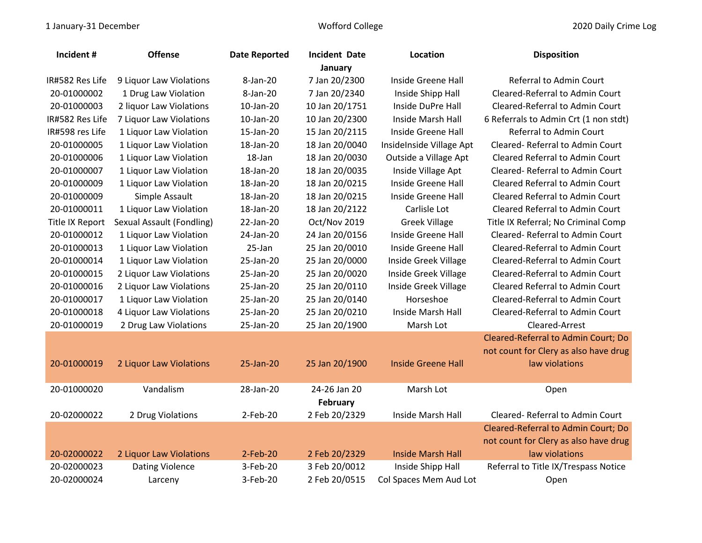| Incident #      | <b>Offense</b>            | <b>Date Reported</b> | <b>Incident Date</b> | Location                  | <b>Disposition</b>                     |  |
|-----------------|---------------------------|----------------------|----------------------|---------------------------|----------------------------------------|--|
| January         |                           |                      |                      |                           |                                        |  |
| IR#582 Res Life | 9 Liquor Law Violations   | 8-Jan-20             | 7 Jan 20/2300        | Inside Greene Hall        | Referral to Admin Court                |  |
| 20-01000002     | 1 Drug Law Violation      | 8-Jan-20             | 7 Jan 20/2340        | Inside Shipp Hall         | Cleared-Referral to Admin Court        |  |
| 20-01000003     | 2 liquor Law Violations   | 10-Jan-20            | 10 Jan 20/1751       | Inside DuPre Hall         | Cleared-Referral to Admin Court        |  |
| IR#582 Res Life | 7 Liquor Law Violations   | 10-Jan-20            | 10 Jan 20/2300       | Inside Marsh Hall         | 6 Referrals to Admin Crt (1 non stdt)  |  |
| IR#598 res Life | 1 Liquor Law Violation    | 15-Jan-20            | 15 Jan 20/2115       | Inside Greene Hall        | Referral to Admin Court                |  |
| 20-01000005     | 1 Liquor Law Violation    | 18-Jan-20            | 18 Jan 20/0040       | InsideInside Village Apt  | Cleared-Referral to Admin Court        |  |
| 20-01000006     | 1 Liquor Law Violation    | 18-Jan               | 18 Jan 20/0030       | Outside a Village Apt     | <b>Cleared Referral to Admin Court</b> |  |
| 20-01000007     | 1 Liquor Law Violation    | 18-Jan-20            | 18 Jan 20/0035       | Inside Village Apt        | Cleared-Referral to Admin Court        |  |
| 20-01000009     | 1 Liquor Law Violation    | 18-Jan-20            | 18 Jan 20/0215       | Inside Greene Hall        | <b>Cleared Referral to Admin Court</b> |  |
| 20-01000009     | Simple Assault            | 18-Jan-20            | 18 Jan 20/0215       | Inside Greene Hall        | <b>Cleared Referral to Admin Court</b> |  |
| 20-01000011     | 1 Liquor Law Violation    | 18-Jan-20            | 18 Jan 20/2122       | Carlisle Lot              | <b>Cleared Referral to Admin Court</b> |  |
| Title IX Report | Sexual Assault (Fondling) | 22-Jan-20            | Oct/Nov 2019         | <b>Greek Village</b>      | Title IX Referral; No Criminal Comp    |  |
| 20-01000012     | 1 Liquor Law Violation    | 24-Jan-20            | 24 Jan 20/0156       | Inside Greene Hall        | Cleared-Referral to Admin Court        |  |
| 20-01000013     | 1 Liquor Law Violation    | 25-Jan               | 25 Jan 20/0010       | Inside Greene Hall        | Cleared-Referral to Admin Court        |  |
| 20-01000014     | 1 Liquor Law Violation    | 25-Jan-20            | 25 Jan 20/0000       | Inside Greek Village      | Cleared-Referral to Admin Court        |  |
| 20-01000015     | 2 Liquor Law Violations   | 25-Jan-20            | 25 Jan 20/0020       | Inside Greek Village      | Cleared-Referral to Admin Court        |  |
| 20-01000016     | 2 Liquor Law Violations   | 25-Jan-20            | 25 Jan 20/0110       | Inside Greek Village      | <b>Cleared Referral to Admin Court</b> |  |
| 20-01000017     | 1 Liquor Law Violation    | 25-Jan-20            | 25 Jan 20/0140       | Horseshoe                 | Cleared-Referral to Admin Court        |  |
| 20-01000018     | 4 Liquor Law Violations   | 25-Jan-20            | 25 Jan 20/0210       | Inside Marsh Hall         | Cleared-Referral to Admin Court        |  |
| 20-01000019     | 2 Drug Law Violations     | 25-Jan-20            | 25 Jan 20/1900       | Marsh Lot                 | Cleared-Arrest                         |  |
|                 |                           |                      |                      |                           | Cleared-Referral to Admin Court; Do    |  |
|                 |                           |                      |                      |                           | not count for Clery as also have drug  |  |
| 20-01000019     | 2 Liquor Law Violations   | 25-Jan-20            | 25 Jan 20/1900       | <b>Inside Greene Hall</b> | law violations                         |  |
|                 |                           |                      |                      |                           |                                        |  |
| 20-01000020     | Vandalism                 | 28-Jan-20            | 24-26 Jan 20         | Marsh Lot                 | Open                                   |  |
|                 |                           |                      | February             |                           |                                        |  |
| 20-02000022     | 2 Drug Violations         | 2-Feb-20             | 2 Feb 20/2329        | Inside Marsh Hall         | Cleared-Referral to Admin Court        |  |
|                 |                           |                      |                      |                           | Cleared-Referral to Admin Court; Do    |  |
|                 |                           |                      |                      |                           | not count for Clery as also have drug  |  |
| 20-02000022     | 2 Liquor Law Violations   | $2$ -Feb-20          | 2 Feb 20/2329        | <b>Inside Marsh Hall</b>  | law violations                         |  |
| 20-02000023     | <b>Dating Violence</b>    | 3-Feb-20             | 3 Feb 20/0012        | Inside Shipp Hall         | Referral to Title IX/Trespass Notice   |  |
| 20-02000024     | Larceny                   | 3-Feb-20             | 2 Feb 20/0515        | Col Spaces Mem Aud Lot    | Open                                   |  |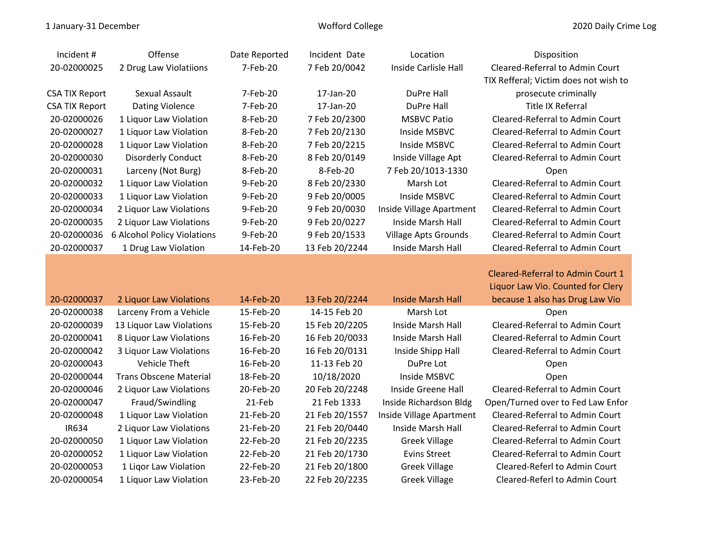| Incident #            | <b>Offense</b>              | Date Reported | Incident Date  | Location                 | Disposition                           |
|-----------------------|-----------------------------|---------------|----------------|--------------------------|---------------------------------------|
| 20-02000025           | 2 Drug Law Violatiions      | 7-Feb-20      | 7 Feb 20/0042  | Inside Carlisle Hall     | Cleared-Referral to Admin Court       |
|                       |                             |               |                |                          | TIX Refferal; Victim does not wish to |
| <b>CSA TIX Report</b> | Sexual Assault              | 7-Feb-20      | 17-Jan-20      | DuPre Hall               | prosecute criminally                  |
| <b>CSA TIX Report</b> | <b>Dating Violence</b>      | 7-Feb-20      | 17-Jan-20      | DuPre Hall               | Title IX Referral                     |
| 20-02000026           | 1 Liquor Law Violation      | 8-Feb-20      | 7 Feb 20/2300  | <b>MSBVC Patio</b>       | Cleared-Referral to Admin Court       |
| 20-02000027           | 1 Liquor Law Violation      | 8-Feb-20      | 7 Feb 20/2130  | Inside MSBVC             | Cleared-Referral to Admin Court       |
| 20-02000028           | 1 Liquor Law Violation      | 8-Feb-20      | 7 Feb 20/2215  | Inside MSBVC             | Cleared-Referral to Admin Court       |
| 20-02000030           | <b>Disorderly Conduct</b>   | 8-Feb-20      | 8 Feb 20/0149  | Inside Village Apt       | Cleared-Referral to Admin Court       |
| 20-02000031           | Larceny (Not Burg)          | 8-Feb-20      | 8-Feb-20       | 7 Feb 20/1013-1330       | Open                                  |
| 20-02000032           | 1 Liquor Law Violation      | 9-Feb-20      | 8 Feb 20/2330  | Marsh Lot                | Cleared-Referral to Admin Court       |
| 20-02000033           | 1 Liquor Law Violation      | 9-Feb-20      | 9 Feb 20/0005  | Inside MSBVC             | Cleared-Referral to Admin Court       |
| 20-02000034           | 2 Liquor Law Violations     | 9-Feb-20      | 9 Feb 20/0030  | Inside Village Apartment | Cleared-Referral to Admin Court       |
| 20-02000035           | 2 Liquor Law Violations     | 9-Feb-20      | 9 Feb 20/0227  | Inside Marsh Hall        | Cleared-Referral to Admin Court       |
| 20-02000036           | 6 Alcohol Policy Violations | 9-Feb-20      | 9 Feb 20/1533  | Village Apts Grounds     | Cleared-Referral to Admin Court       |
| 20-02000037           | 1 Drug Law Violation        | 14-Feb-20     | 13 Feb 20/2244 | Inside Marsh Hall        | Cleared-Referral to Admin Court       |
|                       |                             |               |                |                          |                                       |

Cleared-Referral to Admin Court 1 Liquor Law Vio. Counted for Clery ag Law Vio

| 20-02000037 | 2 Liquor Law Violations  | 14-Feb-20 | 13 Feb 20/2244 | <b>Inside Marsh Hall</b> | because 1 also has Drug Law Vio   |
|-------------|--------------------------|-----------|----------------|--------------------------|-----------------------------------|
| 20-02000038 | Larceny From a Vehicle   | 15-Feb-20 | 14-15 Feb 20   | Marsh Lot                | Open                              |
| 20-02000039 | 13 Liquor Law Violations | 15-Feb-20 | 15 Feb 20/2205 | Inside Marsh Hall        | Cleared-Referral to Admin Court   |
| 20-02000041 | 8 Liquor Law Violations  | 16-Feb-20 | 16 Feb 20/0033 | Inside Marsh Hall        | Cleared-Referral to Admin Court   |
| 20-02000042 | 3 Liquor Law Violations  | 16-Feb-20 | 16 Feb 20/0131 | Inside Shipp Hall        | Cleared-Referral to Admin Court   |
| 20-02000043 | Vehicle Theft            | 16-Feb-20 | 11-13 Feb 20   | DuPre Lot                | Open                              |
| 20-02000044 | Trans Obscene Material   | 18-Feb-20 | 10/18/2020     | Inside MSBVC             | Open                              |
| 20-02000046 | 2 Liquor Law Violations  | 20-Feb-20 | 20 Feb 20/2248 | Inside Greene Hall       | Cleared-Referral to Admin Court   |
| 20-02000047 | Fraud/Swindling          | 21-Feb    | 21 Feb 1333    | Inside Richardson Bldg   | Open/Turned over to Fed Law Enfor |
| 20-02000048 | 1 Liquor Law Violation   | 21-Feb-20 | 21 Feb 20/1557 | Inside Village Apartment | Cleared-Referral to Admin Court   |
| IR634       | 2 Liquor Law Violations  | 21-Feb-20 | 21 Feb 20/0440 | Inside Marsh Hall        | Cleared-Referral to Admin Court   |
| 20-02000050 | 1 Liquor Law Violation   | 22-Feb-20 | 21 Feb 20/2235 | <b>Greek Village</b>     | Cleared-Referral to Admin Court   |
| 20-02000052 | 1 Liquor Law Violation   | 22-Feb-20 | 21 Feb 20/1730 | Evins Street             | Cleared-Referral to Admin Court   |
| 20-02000053 | 1 Ligor Law Violation    | 22-Feb-20 | 21 Feb 20/1800 | <b>Greek Village</b>     | Cleared-Referl to Admin Court     |
| 20-02000054 | 1 Liquor Law Violation   | 23-Feb-20 | 22 Feb 20/2235 | <b>Greek Village</b>     | Cleared-Referl to Admin Court     |
|             |                          |           |                |                          |                                   |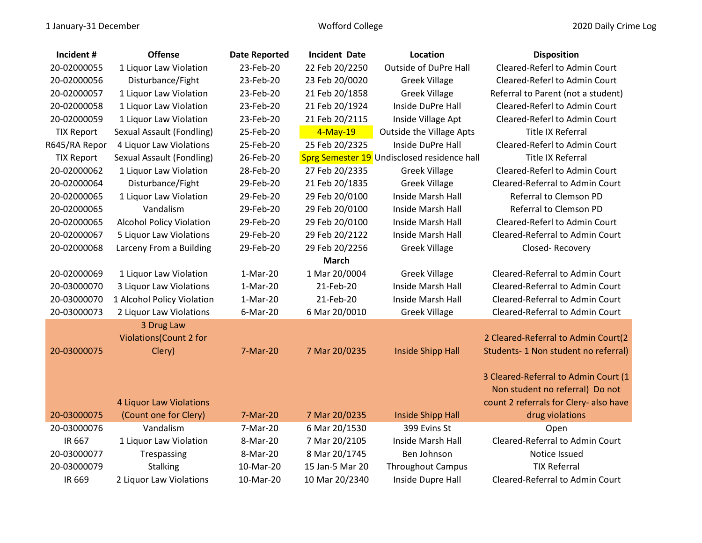| Incident #        | <b>Offense</b>                   | <b>Date Reported</b> | <b>Incident Date</b> | Location                                    | <b>Disposition</b>                     |
|-------------------|----------------------------------|----------------------|----------------------|---------------------------------------------|----------------------------------------|
| 20-02000055       | 1 Liquor Law Violation           | 23-Feb-20            | 22 Feb 20/2250       | <b>Outside of DuPre Hall</b>                | Cleared-Referl to Admin Court          |
| 20-02000056       | Disturbance/Fight                | 23-Feb-20            | 23 Feb 20/0020       | <b>Greek Village</b>                        | Cleared-Referl to Admin Court          |
| 20-02000057       | 1 Liquor Law Violation           | 23-Feb-20            | 21 Feb 20/1858       | <b>Greek Village</b>                        | Referral to Parent (not a student)     |
| 20-02000058       | 1 Liquor Law Violation           | 23-Feb-20            | 21 Feb 20/1924       | Inside DuPre Hall                           | Cleared-Referl to Admin Court          |
| 20-02000059       | 1 Liquor Law Violation           | 23-Feb-20            | 21 Feb 20/2115       | Inside Village Apt                          | Cleared-Referl to Admin Court          |
| <b>TIX Report</b> | <b>Sexual Assault (Fondling)</b> | 25-Feb-20            | $4-May-19$           | <b>Outside the Village Apts</b>             | <b>Title IX Referral</b>               |
| R645/RA Repor     | 4 Liquor Law Violations          | 25-Feb-20            | 25 Feb 20/2325       | Inside DuPre Hall                           | Cleared-Referl to Admin Court          |
| <b>TIX Report</b> | Sexual Assault (Fondling)        | 26-Feb-20            |                      | Sprg Semester 19 Undisclosed residence hall | <b>Title IX Referral</b>               |
| 20-02000062       | 1 Liquor Law Violation           | 28-Feb-20            | 27 Feb 20/2335       | <b>Greek Village</b>                        | Cleared-Referl to Admin Court          |
| 20-02000064       | Disturbance/Fight                | 29-Feb-20            | 21 Feb 20/1835       | <b>Greek Village</b>                        | Cleared-Referral to Admin Court        |
| 20-02000065       | 1 Liquor Law Violation           | 29-Feb-20            | 29 Feb 20/0100       | Inside Marsh Hall                           | Referral to Clemson PD                 |
| 20-02000065       | Vandalism                        | 29-Feb-20            | 29 Feb 20/0100       | Inside Marsh Hall                           | Referral to Clemson PD                 |
| 20-02000065       | <b>Alcohol Policy Violation</b>  | 29-Feb-20            | 29 Feb 20/0100       | Inside Marsh Hall                           | Cleared-Referl to Admin Court          |
| 20-02000067       | 5 Liquor Law Violations          | 29-Feb-20            | 29 Feb 20/2122       | Inside Marsh Hall                           | Cleared-Referral to Admin Court        |
| 20-02000068       | Larceny From a Building          | 29-Feb-20            | 29 Feb 20/2256       | <b>Greek Village</b>                        | Closed-Recovery                        |
|                   |                                  |                      | <b>March</b>         |                                             |                                        |
| 20-02000069       | 1 Liquor Law Violation           | 1-Mar-20             | 1 Mar 20/0004        | <b>Greek Village</b>                        | Cleared-Referral to Admin Court        |
| 20-03000070       | 3 Liquor Law Violations          | 1-Mar-20             | 21-Feb-20            | Inside Marsh Hall                           | Cleared-Referral to Admin Court        |
| 20-03000070       | 1 Alcohol Policy Violation       | $1-Mar-20$           | 21-Feb-20            | Inside Marsh Hall                           | Cleared-Referral to Admin Court        |
| 20-03000073       | 2 Liquor Law Violations          | 6-Mar-20             | 6 Mar 20/0010        | <b>Greek Village</b>                        | Cleared-Referral to Admin Court        |
|                   | 3 Drug Law                       |                      |                      |                                             |                                        |
|                   | Violations (Count 2 for          |                      |                      |                                             | 2 Cleared-Referral to Admin Court(2    |
| 20-03000075       | Clery)                           | 7-Mar-20             | 7 Mar 20/0235        | <b>Inside Shipp Hall</b>                    | Students-1 Non student no referral)    |
|                   |                                  |                      |                      |                                             | 3 Cleared-Referral to Admin Court (1   |
|                   |                                  |                      |                      |                                             | Non student no referral) Do not        |
|                   | 4 Liquor Law Violations          |                      |                      |                                             | count 2 referrals for Clery- also have |
| 20-03000075       | (Count one for Clery)            | 7-Mar-20             | 7 Mar 20/0235        | <b>Inside Shipp Hall</b>                    | drug violations                        |
| 20-03000076       | Vandalism                        | 7-Mar-20             | 6 Mar 20/1530        | 399 Evins St                                | Open                                   |
| IR 667            | 1 Liquor Law Violation           | 8-Mar-20             | 7 Mar 20/2105        | Inside Marsh Hall                           | Cleared-Referral to Admin Court        |
| 20-03000077       | Trespassing                      | 8-Mar-20             | 8 Mar 20/1745        | Ben Johnson                                 | Notice Issued                          |
| 20-03000079       | <b>Stalking</b>                  | 10-Mar-20            | 15 Jan-5 Mar 20      | <b>Throughout Campus</b>                    | <b>TIX Referral</b>                    |
| IR 669            | 2 Liquor Law Violations          | 10-Mar-20            | 10 Mar 20/2340       | Inside Dupre Hall                           | Cleared-Referral to Admin Court        |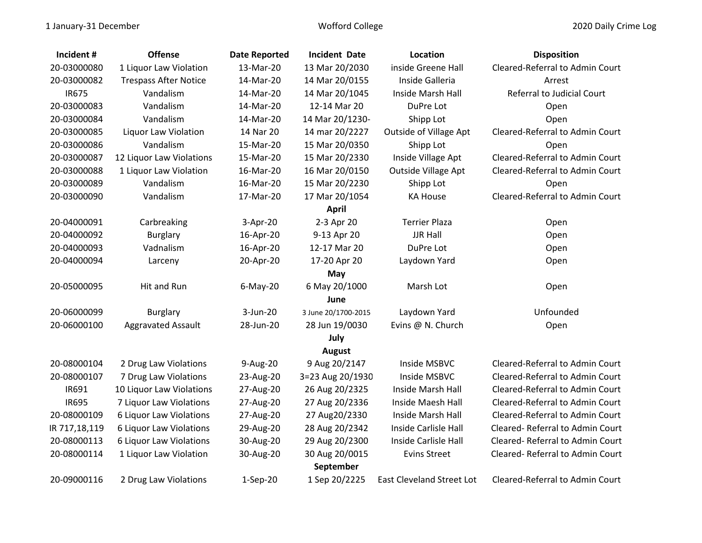| Incident #    | <b>Offense</b>               | <b>Date Reported</b> | <b>Incident Date</b> | Location                         | <b>Disposition</b>                |  |  |
|---------------|------------------------------|----------------------|----------------------|----------------------------------|-----------------------------------|--|--|
| 20-03000080   | 1 Liquor Law Violation       | 13-Mar-20            | 13 Mar 20/2030       | inside Greene Hall               | Cleared-Referral to Admin Court   |  |  |
| 20-03000082   | <b>Trespass After Notice</b> | 14-Mar-20            | 14 Mar 20/0155       | Inside Galleria                  | Arrest                            |  |  |
| <b>IR675</b>  | Vandalism                    | 14-Mar-20            | 14 Mar 20/1045       | Inside Marsh Hall                | <b>Referral to Judicial Court</b> |  |  |
| 20-03000083   | Vandalism                    | 14-Mar-20            | 12-14 Mar 20         | DuPre Lot                        | Open                              |  |  |
| 20-03000084   | Vandalism                    | 14-Mar-20            | 14 Mar 20/1230-      | Shipp Lot                        | Open                              |  |  |
| 20-03000085   | Liquor Law Violation         | 14 Nar 20            | 14 mar 20/2227       | <b>Outside of Village Apt</b>    | Cleared-Referral to Admin Court   |  |  |
| 20-03000086   | Vandalism                    | 15-Mar-20            | 15 Mar 20/0350       | Shipp Lot                        | Open                              |  |  |
| 20-03000087   | 12 Liquor Law Violations     | 15-Mar-20            | 15 Mar 20/2330       | Inside Village Apt               | Cleared-Referral to Admin Court   |  |  |
| 20-03000088   | 1 Liquor Law Violation       | 16-Mar-20            | 16 Mar 20/0150       | Outside Village Apt              | Cleared-Referral to Admin Court   |  |  |
| 20-03000089   | Vandalism                    | 16-Mar-20            | 15 Mar 20/2230       | Shipp Lot                        | Open                              |  |  |
| 20-03000090   | Vandalism                    | 17-Mar-20            | 17 Mar 20/1054       | <b>KA House</b>                  | Cleared-Referral to Admin Court   |  |  |
|               |                              |                      | <b>April</b>         |                                  |                                   |  |  |
| 20-04000091   | Carbreaking                  | $3-Apr-20$           | 2-3 Apr 20           | <b>Terrier Plaza</b>             | Open                              |  |  |
| 20-04000092   | <b>Burglary</b>              | 16-Apr-20            | 9-13 Apr 20          | <b>JJR Hall</b>                  | Open                              |  |  |
| 20-04000093   | Vadnalism                    | 16-Apr-20            | 12-17 Mar 20         | DuPre Lot                        | Open                              |  |  |
| 20-04000094   | Larceny                      | 20-Apr-20            | 17-20 Apr 20         | Laydown Yard                     | Open                              |  |  |
|               |                              |                      | May                  |                                  |                                   |  |  |
| 20-05000095   | Hit and Run                  | $6$ -May-20          | 6 May 20/1000        | Marsh Lot                        | Open                              |  |  |
|               |                              |                      | June                 |                                  |                                   |  |  |
| 20-06000099   | <b>Burglary</b>              | 3-Jun-20             | 3 June 20/1700-2015  | Laydown Yard                     | Unfounded                         |  |  |
| 20-06000100   | <b>Aggravated Assault</b>    | 28-Jun-20            | 28 Jun 19/0030       | Evins @ N. Church                | Open                              |  |  |
|               |                              |                      | July                 |                                  |                                   |  |  |
|               |                              |                      | <b>August</b>        |                                  |                                   |  |  |
| 20-08000104   | 2 Drug Law Violations        | 9-Aug-20             | 9 Aug 20/2147        | Inside MSBVC                     | Cleared-Referral to Admin Court   |  |  |
| 20-08000107   | 7 Drug Law Violations        | 23-Aug-20            | 3=23 Aug 20/1930     | Inside MSBVC                     | Cleared-Referral to Admin Court   |  |  |
| IR691         | 10 Liquor Law Violations     | 27-Aug-20            | 26 Aug 20/2325       | Inside Marsh Hall                | Cleared-Referral to Admin Court   |  |  |
| <b>IR695</b>  | 7 Liquor Law Violations      | 27-Aug-20            | 27 Aug 20/2336       | Inside Maesh Hall                | Cleared-Referral to Admin Court   |  |  |
| 20-08000109   | 6 Liquor Law Violations      | 27-Aug-20            | 27 Aug20/2330        | Inside Marsh Hall                | Cleared-Referral to Admin Court   |  |  |
| IR 717,18,119 | 6 Liquor Law Violations      | 29-Aug-20            | 28 Aug 20/2342       | Inside Carlisle Hall             | Cleared-Referral to Admin Court   |  |  |
| 20-08000113   | 6 Liquor Law Violations      | 30-Aug-20            | 29 Aug 20/2300       | Inside Carlisle Hall             | Cleared-Referral to Admin Court   |  |  |
| 20-08000114   | 1 Liquor Law Violation       | 30-Aug-20            | 30 Aug 20/0015       | <b>Evins Street</b>              | Cleared-Referral to Admin Court   |  |  |
|               | September                    |                      |                      |                                  |                                   |  |  |
| 20-09000116   | 2 Drug Law Violations        | $1-Sep-20$           | 1 Sep 20/2225        | <b>East Cleveland Street Lot</b> | Cleared-Referral to Admin Court   |  |  |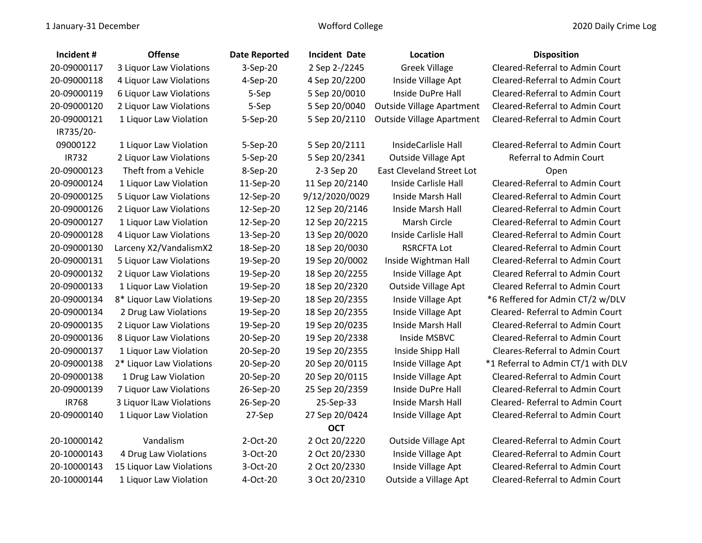| Incident #   | <b>Offense</b>           | <b>Date Reported</b> | <b>Incident Date</b> | Location                         | <b>Disposition</b>                     |
|--------------|--------------------------|----------------------|----------------------|----------------------------------|----------------------------------------|
| 20-09000117  | 3 Liquor Law Violations  | 3-Sep-20             | 2 Sep 2-/2245        | <b>Greek Village</b>             | Cleared-Referral to Admin Court        |
| 20-09000118  | 4 Liquor Law Violations  | 4-Sep-20             | 4 Sep 20/2200        | Inside Village Apt               | Cleared-Referral to Admin Court        |
| 20-09000119  | 6 Liquor Law Violations  | 5-Sep                | 5 Sep 20/0010        | Inside DuPre Hall                | Cleared-Referral to Admin Court        |
| 20-09000120  | 2 Liquor Law Violations  | 5-Sep                | 5 Sep 20/0040        | <b>Outside Village Apartment</b> | Cleared-Referral to Admin Court        |
| 20-09000121  | 1 Liquor Law Violation   | 5-Sep-20             | 5 Sep 20/2110        | <b>Outside Village Apartment</b> | Cleared-Referral to Admin Court        |
| IR735/20-    |                          |                      |                      |                                  |                                        |
| 09000122     | 1 Liquor Law Violation   | 5-Sep-20             | 5 Sep 20/2111        | InsideCarlisle Hall              | Cleared-Referral to Admin Court        |
| <b>IR732</b> | 2 Liquor Law Violations  | 5-Sep-20             | 5 Sep 20/2341        | <b>Outside Village Apt</b>       | Referral to Admin Court                |
| 20-09000123  | Theft from a Vehicle     | 8-Sep-20             | 2-3 Sep 20           | <b>East Cleveland Street Lot</b> | Open                                   |
| 20-09000124  | 1 Liquor Law Violation   | 11-Sep-20            | 11 Sep 20/2140       | Inside Carlisle Hall             | Cleared-Referral to Admin Court        |
| 20-09000125  | 5 Liquor Law Violations  | 12-Sep-20            | 9/12/2020/0029       | Inside Marsh Hall                | Cleared-Referral to Admin Court        |
| 20-09000126  | 2 Liquor Law Violations  | 12-Sep-20            | 12 Sep 20/2146       | Inside Marsh Hall                | Cleared-Referral to Admin Court        |
| 20-09000127  | 1 Liquor Law Violation   | 12-Sep-20            | 12 Sep 20/2215       | Marsh Circle                     | Cleared-Referral to Admin Court        |
| 20-09000128  | 4 Liquor Law Violations  | 13-Sep-20            | 13 Sep 20/0020       | Inside Carlisle Hall             | Cleared-Referral to Admin Court        |
| 20-09000130  | Larceny X2/VandalismX2   | 18-Sep-20            | 18 Sep 20/0030       | <b>RSRCFTA Lot</b>               | Cleared-Referral to Admin Court        |
| 20-09000131  | 5 Liquor Law Violations  | 19-Sep-20            | 19 Sep 20/0002       | Inside Wightman Hall             | Cleared-Referral to Admin Court        |
| 20-09000132  | 2 Liquor Law Violations  | 19-Sep-20            | 18 Sep 20/2255       | Inside Village Apt               | <b>Cleared Referral to Admin Court</b> |
| 20-09000133  | 1 Liquor Law Violation   | 19-Sep-20            | 18 Sep 20/2320       | Outside Village Apt              | <b>Cleared Referral to Admin Court</b> |
| 20-09000134  | 8* Liquor Law Violations | 19-Sep-20            | 18 Sep 20/2355       | Inside Village Apt               | *6 Reffered for Admin CT/2 w/DLV       |
| 20-09000134  | 2 Drug Law Violations    | 19-Sep-20            | 18 Sep 20/2355       | Inside Village Apt               | Cleared-Referral to Admin Court        |
| 20-09000135  | 2 Liquor Law Violations  | 19-Sep-20            | 19 Sep 20/0235       | Inside Marsh Hall                | Cleared-Referral to Admin Court        |
| 20-09000136  | 8 Liquor Law Violations  | 20-Sep-20            | 19 Sep 20/2338       | Inside MSBVC                     | Cleared-Referral to Admin Court        |
| 20-09000137  | 1 Liquor Law Violation   | 20-Sep-20            | 19 Sep 20/2355       | Inside Shipp Hall                | <b>Cleares-Referral to Admin Court</b> |
| 20-09000138  | 2* Liquor Law Violations | 20-Sep-20            | 20 Sep 20/0115       | Inside Village Apt               | *1 Referral to Admin CT/1 with DLV     |
| 20-09000138  | 1 Drug Law Violation     | 20-Sep-20            | 20 Sep 20/0115       | Inside Village Apt               | Cleared-Referral to Admin Court        |
| 20-09000139  | 7 Liquor Law Violations  | 26-Sep-20            | 25 Sep 20/2359       | Inside DuPre Hall                | Cleared-Referral to Admin Court        |
| <b>IR768</b> | 3 Liquor ILaw Violations | 26-Sep-20            | 25-Sep-33            | Inside Marsh Hall                | Cleared-Referral to Admin Court        |
| 20-09000140  | 1 Liquor Law Violation   | 27-Sep               | 27 Sep 20/0424       | Inside Village Apt               | Cleared-Referral to Admin Court        |
|              |                          |                      | <b>OCT</b>           |                                  |                                        |
| 20-10000142  | Vandalism                | 2-Oct-20             | 2 Oct 20/2220        | Outside Village Apt              | Cleared-Referral to Admin Court        |
| 20-10000143  | 4 Drug Law Violations    | 3-Oct-20             | 2 Oct 20/2330        | Inside Village Apt               | Cleared-Referral to Admin Court        |
| 20-10000143  | 15 Liquor Law Violations | 3-Oct-20             | 2 Oct 20/2330        | Inside Village Apt               | Cleared-Referral to Admin Court        |
| 20-10000144  | 1 Liquor Law Violation   | 4-Oct-20             | 3 Oct 20/2310        | Outside a Village Apt            | Cleared-Referral to Admin Court        |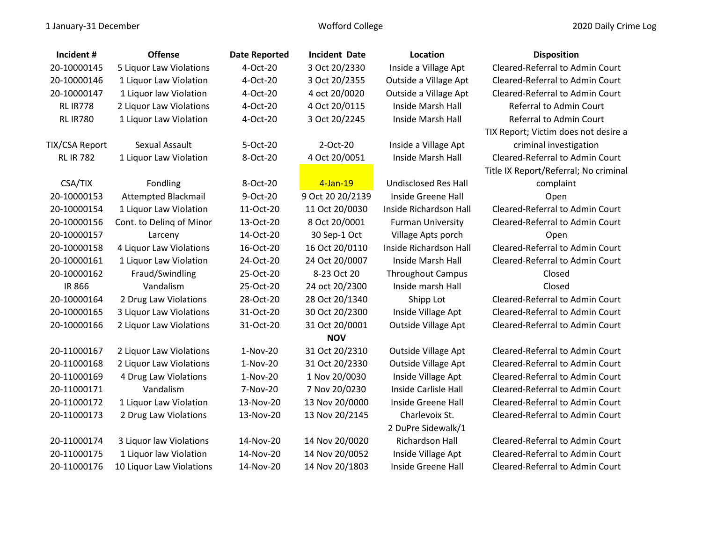| Incident#        | <b>Offense</b>             | <b>Date Reported</b> | <b>Incident Date</b> | Location                    | <b>Disposition</b>                    |
|------------------|----------------------------|----------------------|----------------------|-----------------------------|---------------------------------------|
| 20-10000145      | 5 Liquor Law Violations    | 4-Oct-20             | 3 Oct 20/2330        | Inside a Village Apt        | Cleared-Referral to Admin Court       |
| 20-10000146      | 1 Liquor Law Violation     | 4-Oct-20             | 3 Oct 20/2355        | Outside a Village Apt       | Cleared-Referral to Admin Court       |
| 20-10000147      | 1 Liquor law Violation     | 4-Oct-20             | 4 oct 20/0020        | Outside a Village Apt       | Cleared-Referral to Admin Court       |
| <b>RL IR778</b>  | 2 Liquor Law Violations    | 4-Oct-20             | 4 Oct 20/0115        | Inside Marsh Hall           | Referral to Admin Court               |
| <b>RL IR780</b>  | 1 Liquor Law Violation     | 4-Oct-20             | 3 Oct 20/2245        | Inside Marsh Hall           | Referral to Admin Court               |
|                  |                            |                      |                      |                             | TIX Report; Victim does not desire a  |
| TIX/CSA Report   | Sexual Assault             | 5-Oct-20             | $2$ -Oct- $20$       | Inside a Village Apt        | criminal investigation                |
| <b>RL IR 782</b> | 1 Liquor Law Violation     | 8-Oct-20             | 4 Oct 20/0051        | Inside Marsh Hall           | Cleared-Referral to Admin Court       |
|                  |                            |                      |                      |                             | Title IX Report/Referral; No criminal |
| CSA/TIX          | Fondling                   | 8-Oct-20             | $4$ -Jan-19          | <b>Undisclosed Res Hall</b> | complaint                             |
| 20-10000153      | <b>Attempted Blackmail</b> | 9-Oct-20             | 9 Oct 20 20/2139     | Inside Greene Hall          | Open                                  |
| 20-10000154      | 1 Liquor Law Violation     | 11-Oct-20            | 11 Oct 20/0030       | Inside Richardson Hall      | Cleared-Referral to Admin Court       |
| 20-10000156      | Cont. to Deling of Minor   | 13-Oct-20            | 8 Oct 20/0001        | <b>Furman University</b>    | Cleared-Referral to Admin Court       |
| 20-10000157      | Larceny                    | 14-Oct-20            | 30 Sep-1 Oct         | Village Apts porch          | Open                                  |
| 20-10000158      | 4 Liquor Law Violations    | 16-Oct-20            | 16 Oct 20/0110       | Inside Richardson Hall      | Cleared-Referral to Admin Court       |
| 20-10000161      | 1 Liquor Law Violation     | 24-Oct-20            | 24 Oct 20/0007       | Inside Marsh Hall           | Cleared-Referral to Admin Court       |
| 20-10000162      | Fraud/Swindling            | 25-Oct-20            | 8-23 Oct 20          | <b>Throughout Campus</b>    | Closed                                |
| <b>IR 866</b>    | Vandalism                  | 25-Oct-20            | 24 oct 20/2300       | Inside marsh Hall           | Closed                                |
| 20-10000164      | 2 Drug Law Violations      | 28-Oct-20            | 28 Oct 20/1340       | Shipp Lot                   | Cleared-Referral to Admin Court       |
| 20-10000165      | 3 Liquor Law Violations    | 31-Oct-20            | 30 Oct 20/2300       | Inside Village Apt          | Cleared-Referral to Admin Court       |
| 20-10000166      | 2 Liquor Law Violations    | 31-Oct-20            | 31 Oct 20/0001       | Outside Village Apt         | Cleared-Referral to Admin Court       |
|                  |                            |                      | <b>NOV</b>           |                             |                                       |
| 20-11000167      | 2 Liquor Law Violations    | 1-Nov-20             | 31 Oct 20/2310       | Outside Village Apt         | Cleared-Referral to Admin Court       |
| 20-11000168      | 2 Liquor Law Violations    | $1-Nov-20$           | 31 Oct 20/2330       | <b>Outside Village Apt</b>  | Cleared-Referral to Admin Court       |
| 20-11000169      | 4 Drug Law Violations      | 1-Nov-20             | 1 Nov 20/0030        | Inside Village Apt          | Cleared-Referral to Admin Court       |
| 20-11000171      | Vandalism                  | 7-Nov-20             | 7 Nov 20/0230        | Inside Carlisle Hall        | Cleared-Referral to Admin Court       |
| 20-11000172      | 1 Liquor Law Violation     | 13-Nov-20            | 13 Nov 20/0000       | Inside Greene Hall          | Cleared-Referral to Admin Court       |
| 20-11000173      | 2 Drug Law Violations      | 13-Nov-20            | 13 Nov 20/2145       | Charlevoix St.              | Cleared-Referral to Admin Court       |
|                  |                            |                      |                      | 2 DuPre Sidewalk/1          |                                       |
| 20-11000174      | 3 Liquor law Violations    | 14-Nov-20            | 14 Nov 20/0020       | Richardson Hall             | Cleared-Referral to Admin Court       |
| 20-11000175      | 1 Liquor law Violation     | 14-Nov-20            | 14 Nov 20/0052       | Inside Village Apt          | Cleared-Referral to Admin Court       |
| 20-11000176      | 10 Liquor Law Violations   | 14-Nov-20            | 14 Nov 20/1803       | Inside Greene Hall          | Cleared-Referral to Admin Court       |